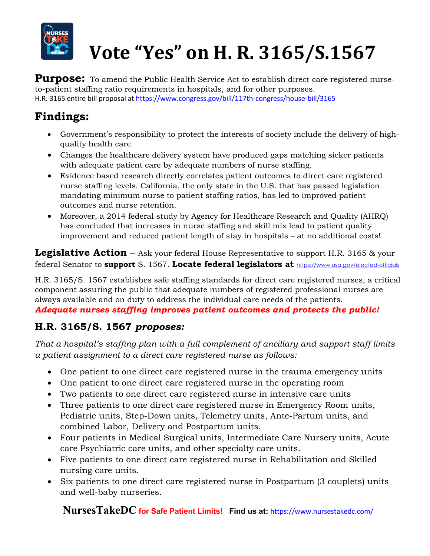

# **Vote "Yes" on H. R. 3165/S.1567**

**Purpose:** To amend the Public Health Service Act to establish direct care registered nurseto-patient staffing ratio requirements in hospitals, and for other purposes. H.R. 3165 entire bill proposal at https://www.congress.gov/bill/117th-congress/house-bill/3165

## **Findings:**

- Government's responsibility to protect the interests of society include the delivery of highquality health care.
- Changes the healthcare delivery system have produced gaps matching sicker patients with adequate patient care by adequate numbers of nurse staffing.
- Evidence based research directly correlates patient outcomes to direct care registered nurse staffing levels. California, the only state in the U.S. that has passed legislation mandating minimum nurse to patient staffing ratios, has led to improved patient outcomes and nurse retention.
- Moreover, a 2014 federal study by Agency for Healthcare Research and Quality (AHRQ) has concluded that increases in nurse staffing and skill mix lead to patient quality improvement and reduced patient length of stay in hospitals – at no additional costs!

**Legislative Action** – Ask your federal House Representative to support H.R. 3165 & your federal Senator to **support** S. 1567. **Locate federal legislators at** https://www.usa.gov/elected-officials

H.R. 3165/S. 1567 establishes safe staffing standards for direct care registered nurses, a critical component assuring the public that adequate numbers of registered professional nurses are always available and on duty to address the individual care needs of the patients.

*Adequate nurses staffing improves patient outcomes and protects the public!*

## **H.R. 3165/S. 1567** *proposes:*

*That a hospital's staffing plan with a full complement of ancillary and support staff limits a patient assignment to a direct care registered nurse as follows:*

- One patient to one direct care registered nurse in the trauma emergency units
- One patient to one direct care registered nurse in the operating room
- Two patients to one direct care registered nurse in intensive care units
- Three patients to one direct care registered nurse in Emergency Room units, Pediatric units, Step-Down units, Telemetry units, Ante-Partum units, and combined Labor, Delivery and Postpartum units.
- Four patients in Medical Surgical units, Intermediate Care Nursery units, Acute care Psychiatric care units, and other specialty care units.
- Five patients to one direct care registered nurse in Rehabilitation and Skilled nursing care units.
- Six patients to one direct care registered nurse in Postpartum (3 couplets) units and well-baby nurseries.

**NursesTakeDC for Safe Patient Limits! Find us at:** https://www.nursestakedc.com/